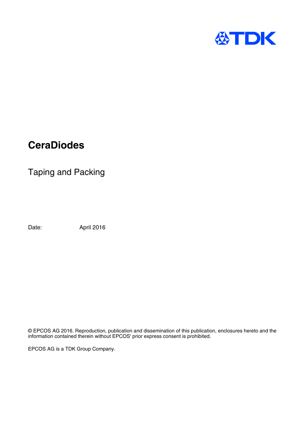

# **CeraDiodes**

Taping and Packing

Date: April 2016

© EPCOS AG 2016. Reproduction, publication and dissemination of this publication, enclosures hereto and the information contained therein without EPCOS' prior express consent is prohibited.

EPCOS AG is a TDK Group Company.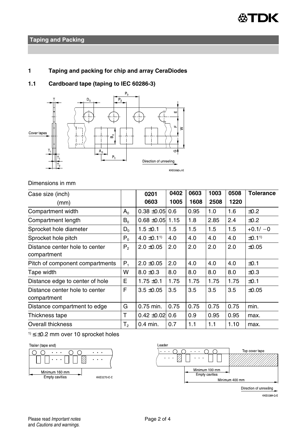

## **Taping and Packing**

# **1 Taping and packing for chip and array CeraDiodes**

**1.1 Cardboard tape (taping to IEC 60286-3)**



#### Dimensions in mm

| Case size (inch)                |         | 0201                        | 0402 | 0603 | 1003 | 0508 | <b>Tolerance</b>  |
|---------------------------------|---------|-----------------------------|------|------|------|------|-------------------|
| (mm)                            |         | 0603                        | 1005 | 1608 | 2508 | 1220 |                   |
| Compartment width               | $A_0$   | $0.38 + 0.05$               | 0.6  | 0.95 | 1.0  | 1.6  | ±0.2              |
| Compartment length              | $B_0$   | $0.68 \pm 0.05$             | 1.15 | 1.8  | 2.85 | 2.4  | ±0.2              |
| Sprocket hole diameter          | $D_{0}$ | $1.5 \pm 0.1$               | 1.5  | 1.5  | 1.5  | 1.5  | $+0.1/-0$         |
| Sprocket hole pitch             | $P_0$   | $4.0 \pm 0.1$ <sup>1)</sup> | 4.0  | 4.0  | 4.0  | 4.0  | ±0.1 <sup>1</sup> |
| Distance center hole to center  | $P_{2}$ | $2.0 \pm 0.05$              | 2.0  | 2.0  | 2.0  | 2.0  | $\pm 0.05$        |
| compartment                     |         |                             |      |      |      |      |                   |
| Pitch of component compartments | $P_1$   | $2.0 \pm 0.05$              | 2.0  | 4.0  | 4.0  | 4.0  | ±0.1              |
| Tape width                      | w       | $8.0 \pm 0.3$               | 8.0  | 8.0  | 8.0  | 8.0  | $\pm 0.3$         |
| Distance edge to center of hole | E       | $1.75 \pm 0.1$              | 1.75 | 1.75 | 1.75 | 1.75 | ±0.1              |
| Distance center hole to center  | F       | $3.5 \pm 0.05$              | 3.5  | 3.5  | 3.5  | 3.5  | ±0.05             |
| compartment                     |         |                             |      |      |      |      |                   |
| Distance compartment to edge    | G       | 0.75 min.                   | 0.75 | 0.75 | 0.75 | 0.75 | min.              |
| Thickness tape                  | T       | $0.42 \pm 0.02$ 0.6         |      | 0.9  | 0.95 | 0.95 | max.              |
| Overall thickness               | T,      | $0.4$ min.                  | 0.7  | 1.1  | 1.1  | 1.10 | max.              |

 $1$ )  $\leq \pm 0.2$  mm over 10 sprocket holes







Direction of unreeling

KKE0289-Q-E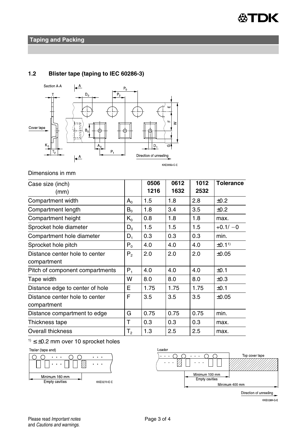



## **1.2 Blister tape (taping to IEC 60286-3)**

### Dimensions in mm

| Case size (inch)                |                | 0506 | 0612 | 1012 | <b>Tolerance</b>      |
|---------------------------------|----------------|------|------|------|-----------------------|
| (mm)                            |                | 1216 | 1632 | 2532 |                       |
| Compartment width               | $A_{0}$        | 1.5  | 1.8  | 2.8  | ±0.2                  |
| Compartment length              | $B_0$          | 1.8  | 3.4  | 3.5  | ±0.2                  |
| Compartment height              | $K_{0}$        | 0.8  | 1.8  | 1.8  | max.                  |
| Sprocket hole diameter          | $D_0$          | 1.5  | 1.5  | 1.5  | $+0.1/-0$             |
| Compartment hole diameter       | $D_1$          | 0.3  | 0.3  | 0.3  | min.                  |
| Sprocket hole pitch             | $P_0$          | 4.0  | 4.0  | 4.0  | $±0.11$ <sup>1)</sup> |
| Distance center hole to center  | $P_{2}$        | 2.0  | 2.0  | 2.0  | ±0.05                 |
| compartment                     |                |      |      |      |                       |
| Pitch of component compartments | $P_{1}$        | 4.0  | 4.0  | 4.0  | ±0.1                  |
| Tape width                      | W              | 8.0  | 8.0  | 8.0  | ±0.3                  |
| Distance edge to center of hole | E              | 1.75 | 1.75 | 1.75 | ±0.1                  |
| Distance center hole to center  | F              | 3.5  | 3.5  | 3.5  | ±0.05                 |
| compartment                     |                |      |      |      |                       |
| Distance compartment to edge    | G              | 0.75 | 0.75 | 0.75 | min.                  |
| Thickness tape                  | т              | 0.3  | 0.3  | 0.3  | max.                  |
| Overall thickness               | T <sub>2</sub> | 1.3  | 2.5  | 2.5  | max.                  |







Direction of unreeling

**KKE0289-Q-E**